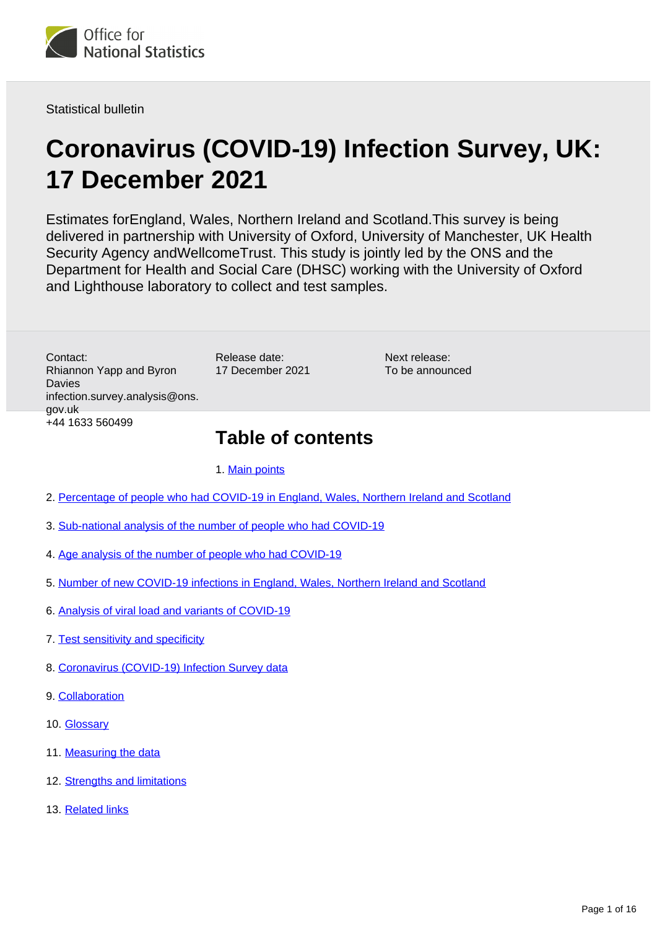

Statistical bulletin

# **Coronavirus (COVID-19) Infection Survey, UK: 17 December 2021**

Estimates forEngland, Wales, Northern Ireland and Scotland.This survey is being delivered in partnership with University of Oxford, University of Manchester, UK Health Security Agency andWellcomeTrust. This study is jointly led by the ONS and the Department for Health and Social Care (DHSC) working with the University of Oxford and Lighthouse laboratory to collect and test samples.

> Next release: To be announced

Contact: Rhiannon Yapp and Byron Davies infection.survey.analysis@ons. gov.uk +44 1633 560499

## **Table of contents**

1. [Main points](#page-1-0)

Release date: 17 December 2021

- 2. [Percentage of people who had COVID-19 in England, Wales, Northern Ireland and Scotland](#page-3-0)
- 3. [Sub-national analysis of the number of people who had COVID-19](#page-5-0)
- 4. [Age analysis of the number of people who had COVID-19](#page-7-0)
- 5. [Number of new COVID-19 infections in England, Wales, Northern Ireland and Scotland](#page-8-0)
- 6. [Analysis of viral load and variants of COVID-19](#page-9-0)
- 7. [Test sensitivity and specificity](#page-11-0)
- 8. [Coronavirus \(COVID-19\) Infection Survey data](#page-12-0)
- 9. [Collaboration](#page-12-1)
- 10. [Glossary](#page-13-0)
- 11. [Measuring the data](#page-13-1)
- 12. [Strengths and limitations](#page-14-0)
- 13. [Related links](#page-15-0)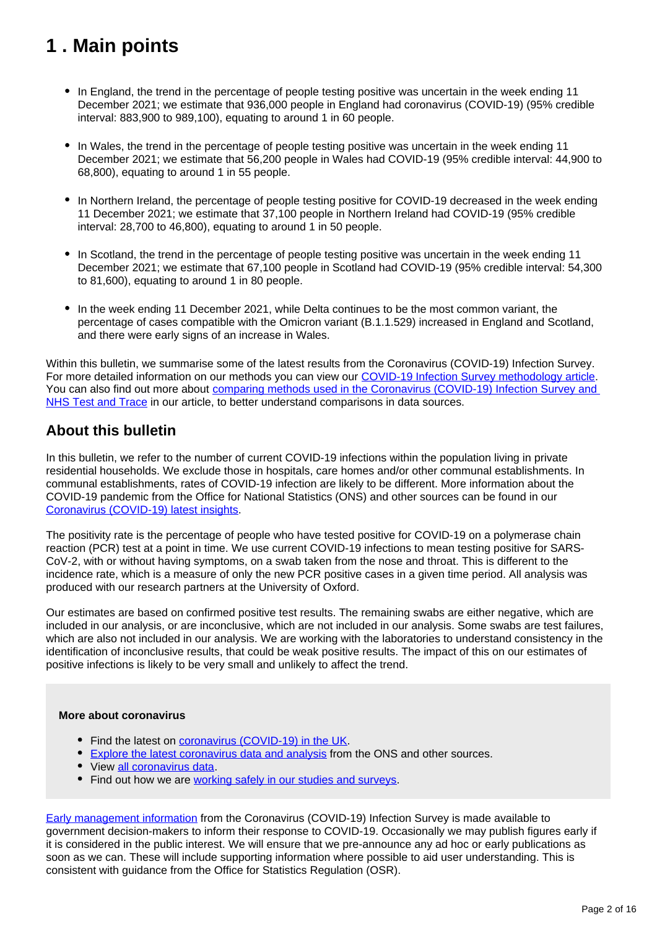## <span id="page-1-0"></span>**1 . Main points**

- In England, the trend in the percentage of people testing positive was uncertain in the week ending 11 December 2021; we estimate that 936,000 people in England had coronavirus (COVID-19) (95% credible interval: 883,900 to 989,100), equating to around 1 in 60 people.
- In Wales, the trend in the percentage of people testing positive was uncertain in the week ending 11 December 2021; we estimate that 56,200 people in Wales had COVID-19 (95% credible interval: 44,900 to 68,800), equating to around 1 in 55 people.
- In Northern Ireland, the percentage of people testing positive for COVID-19 decreased in the week ending 11 December 2021; we estimate that 37,100 people in Northern Ireland had COVID-19 (95% credible interval: 28,700 to 46,800), equating to around 1 in 50 people.
- In Scotland, the trend in the percentage of people testing positive was uncertain in the week ending 11 December 2021; we estimate that 67,100 people in Scotland had COVID-19 (95% credible interval: 54,300 to 81,600), equating to around 1 in 80 people.
- In the week ending 11 December 2021, while Delta continues to be the most common variant, the percentage of cases compatible with the Omicron variant (B.1.1.529) increased in England and Scotland, and there were early signs of an increase in Wales.

Within this bulletin, we summarise some of the latest results from the Coronavirus (COVID-19) Infection Survey. For more detailed information on our methods you can view our [COVID-19 Infection Survey methodology article.](https://www.ons.gov.uk/peoplepopulationandcommunity/healthandsocialcare/conditionsanddiseases/methodologies/covid19infectionsurveypilotmethodsandfurtherinformation) You can also find out more about comparing methods used in the Coronavirus (COVID-19) Infection Survey and [NHS Test and Trace](https://www.ons.gov.uk/peoplepopulationandcommunity/healthandsocialcare/conditionsanddiseases/articles/comparingmethodsusedinthecoronaviruscovid19infectionsurveyandnhstestandtraceengland/october2020) in our article, to better understand comparisons in data sources.

### **About this bulletin**

In this bulletin, we refer to the number of current COVID-19 infections within the population living in private residential households. We exclude those in hospitals, care homes and/or other communal establishments. In communal establishments, rates of COVID-19 infection are likely to be different. More information about the COVID-19 pandemic from the Office for National Statistics (ONS) and other sources can be found in our [Coronavirus \(COVID-19\) latest insights](https://www.ons.gov.uk/peoplepopulationandcommunity/healthandsocialcare/conditionsanddiseases/articles/coronaviruscovid19latestinsights/infections).

The positivity rate is the percentage of people who have tested positive for COVID-19 on a polymerase chain reaction (PCR) test at a point in time. We use current COVID-19 infections to mean testing positive for SARS-CoV-2, with or without having symptoms, on a swab taken from the nose and throat. This is different to the incidence rate, which is a measure of only the new PCR positive cases in a given time period. All analysis was produced with our research partners at the University of Oxford.

Our estimates are based on confirmed positive test results. The remaining swabs are either negative, which are included in our analysis, or are inconclusive, which are not included in our analysis. Some swabs are test failures, which are also not included in our analysis. We are working with the laboratories to understand consistency in the identification of inconclusive results, that could be weak positive results. The impact of this on our estimates of positive infections is likely to be very small and unlikely to affect the trend.

#### **More about coronavirus**

- Find the latest on [coronavirus \(COVID-19\) in the UK.](https://www.ons.gov.uk/peoplepopulationandcommunity/healthandsocialcare/conditionsanddiseases)
- **[Explore the latest coronavirus data and analysis](https://www.ons.gov.uk/peoplepopulationandcommunity/healthandsocialcare/conditionsanddiseases/articles/coronaviruscovid19/latestinsights) from the ONS and other sources.**
- View [all coronavirus data](https://www.ons.gov.uk/peoplepopulationandcommunity/healthandsocialcare/conditionsanddiseases/datalist).
- Find out how we are [working safely in our studies and surveys.](https://www.ons.gov.uk/news/statementsandletters/ensuringyoursafetyduringcovid19)

[Early management information](https://www.ons.gov.uk/news/statementsandletters/provisionofearlymanagementinformationbytheonstoinformoperationaldecisionmakingforthepublicgoodduringthecoronaviruspandemic) from the Coronavirus (COVID-19) Infection Survey is made available to government decision-makers to inform their response to COVID-19. Occasionally we may publish figures early if it is considered in the public interest. We will ensure that we pre-announce any ad hoc or early publications as soon as we can. These will include supporting information where possible to aid user understanding. This is consistent with guidance from the Office for Statistics Regulation (OSR).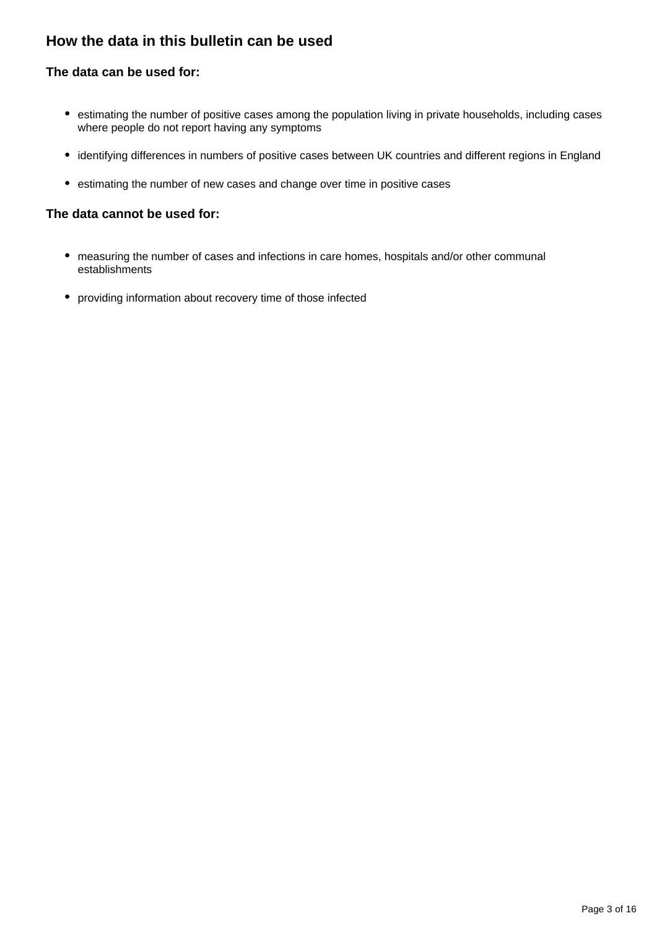## **How the data in this bulletin can be used**

#### **The data can be used for:**

- estimating the number of positive cases among the population living in private households, including cases where people do not report having any symptoms
- identifying differences in numbers of positive cases between UK countries and different regions in England
- estimating the number of new cases and change over time in positive cases

#### **The data cannot be used for:**

- measuring the number of cases and infections in care homes, hospitals and/or other communal establishments
- providing information about recovery time of those infected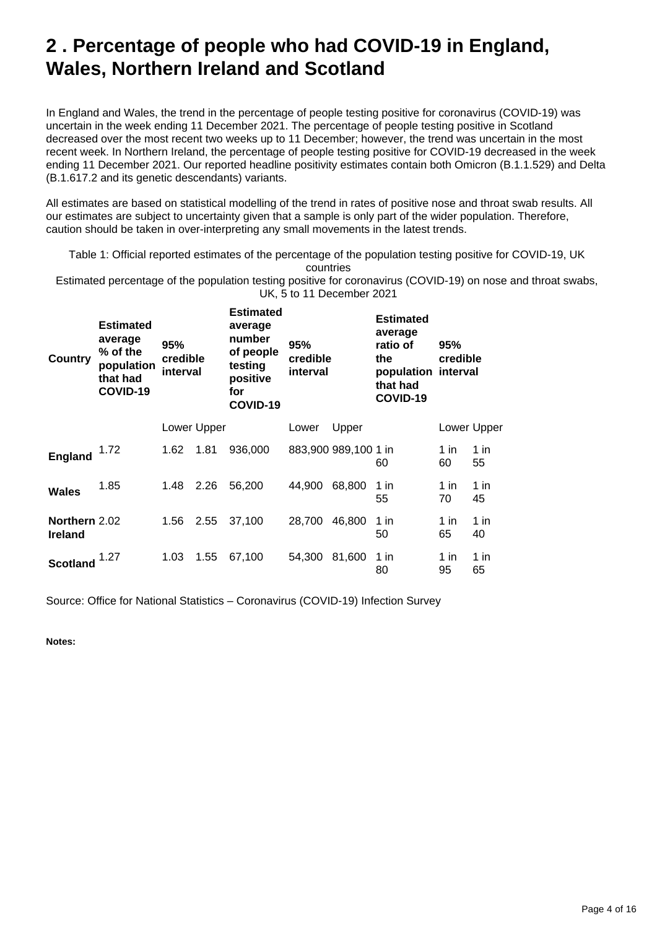## <span id="page-3-0"></span>**2 . Percentage of people who had COVID-19 in England, Wales, Northern Ireland and Scotland**

In England and Wales, the trend in the percentage of people testing positive for coronavirus (COVID-19) was uncertain in the week ending 11 December 2021. The percentage of people testing positive in Scotland decreased over the most recent two weeks up to 11 December; however, the trend was uncertain in the most recent week. In Northern Ireland, the percentage of people testing positive for COVID-19 decreased in the week ending 11 December 2021. Our reported headline positivity estimates contain both Omicron (B.1.1.529) and Delta (B.1.617.2 and its genetic descendants) variants.

All estimates are based on statistical modelling of the trend in rates of positive nose and throat swab results. All our estimates are subject to uncertainty given that a sample is only part of the wider population. Therefore, caution should be taken in over-interpreting any small movements in the latest trends.

Table 1: Official reported estimates of the percentage of the population testing positive for COVID-19, UK countries

Estimated percentage of the population testing positive for coronavirus (COVID-19) on nose and throat swabs, UK, 5 to 11 December 2021

| Country                         | <b>Estimated</b><br>average<br>% of the<br>population<br>that had<br>COVID-19 | 95%<br>credible<br>interval |             | <b>Estimated</b><br>average<br>number<br>of people<br>testing<br>positive<br>for<br>COVID-19 | 95%<br>credible<br>interval |                      | <b>Estimated</b><br>average<br>ratio of<br>the<br>population interval<br>that had<br>COVID-19 | 95%<br>credible |             |
|---------------------------------|-------------------------------------------------------------------------------|-----------------------------|-------------|----------------------------------------------------------------------------------------------|-----------------------------|----------------------|-----------------------------------------------------------------------------------------------|-----------------|-------------|
|                                 |                                                                               |                             | Lower Upper |                                                                                              | Lower                       | Upper                |                                                                                               |                 | Lower Upper |
| <b>England</b>                  | 1.72                                                                          | 1.62                        | 1.81        | 936,000                                                                                      |                             | 883,900 989,100 1 in | 60                                                                                            | 1 in<br>60      | 1 in<br>55  |
| <b>Wales</b>                    | 1.85                                                                          | 1.48                        | 2.26        | 56,200                                                                                       | 44,900                      | 68,800               | 1 in<br>55                                                                                    | 1 in<br>70      | 1 in<br>45  |
| Northern 2.02<br><b>Ireland</b> |                                                                               | 1.56                        | 2.55        | 37,100                                                                                       | 28,700                      | 46,800               | 1 in<br>50                                                                                    | 1 in<br>65      | 1 in<br>40  |
| Scotland                        | 1.27                                                                          | 1.03                        | 1.55        | 67,100                                                                                       | 54,300                      | 81,600               | 1 in<br>80                                                                                    | 1 in<br>95      | 1 in<br>65  |

Source: Office for National Statistics – Coronavirus (COVID-19) Infection Survey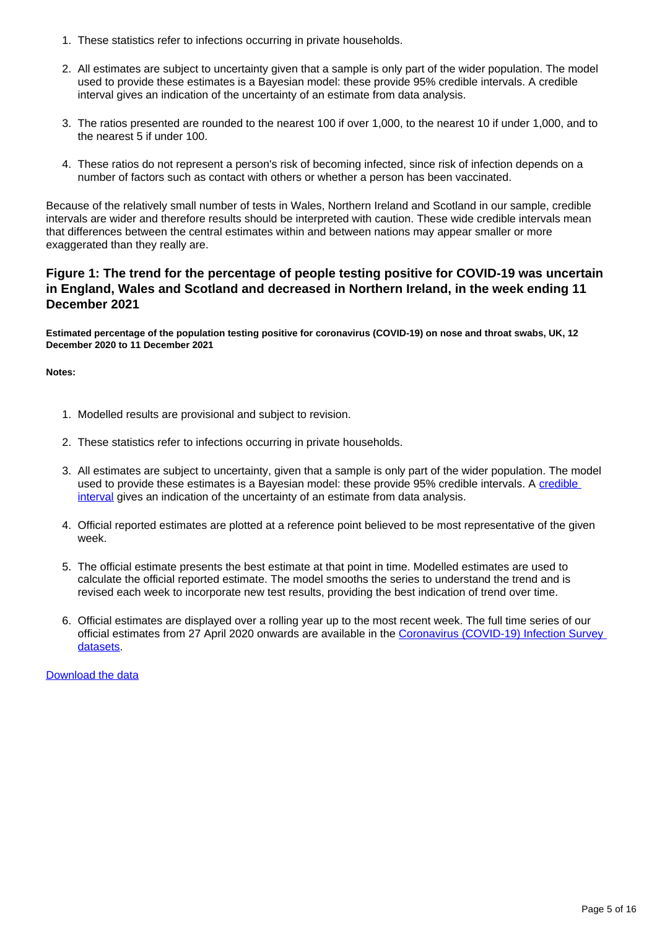- 1. These statistics refer to infections occurring in private households.
- 2. All estimates are subject to uncertainty given that a sample is only part of the wider population. The model used to provide these estimates is a Bayesian model: these provide 95% credible intervals. A credible interval gives an indication of the uncertainty of an estimate from data analysis.
- 3. The ratios presented are rounded to the nearest 100 if over 1,000, to the nearest 10 if under 1,000, and to the nearest 5 if under 100.
- 4. These ratios do not represent a person's risk of becoming infected, since risk of infection depends on a number of factors such as contact with others or whether a person has been vaccinated.

Because of the relatively small number of tests in Wales, Northern Ireland and Scotland in our sample, credible intervals are wider and therefore results should be interpreted with caution. These wide credible intervals mean that differences between the central estimates within and between nations may appear smaller or more exaggerated than they really are.

#### **Figure 1: The trend for the percentage of people testing positive for COVID-19 was uncertain in England, Wales and Scotland and decreased in Northern Ireland, in the week ending 11 December 2021**

**Estimated percentage of the population testing positive for coronavirus (COVID-19) on nose and throat swabs, UK, 12 December 2020 to 11 December 2021**

**Notes:**

- 1. Modelled results are provisional and subject to revision.
- 2. These statistics refer to infections occurring in private households.
- 3. All estimates are subject to uncertainty, given that a sample is only part of the wider population. The model used to provide these estimates is a Bayesian model: these provide 95% [credible](https://www.ons.gov.uk/peoplepopulationandcommunity/healthandsocialcare/conditionsanddiseases/bulletins/coronaviruscovid19infectionsurveypilot/10december2021#glossary) intervals. A credible [interval](https://www.ons.gov.uk/peoplepopulationandcommunity/healthandsocialcare/conditionsanddiseases/bulletins/coronaviruscovid19infectionsurveypilot/10december2021#glossary) gives an indication of the uncertainty of an estimate from data analysis.
- 4. Official reported estimates are plotted at a reference point believed to be most representative of the given week.
- 5. The official estimate presents the best estimate at that point in time. Modelled estimates are used to calculate the official reported estimate. The model smooths the series to understand the trend and is revised each week to incorporate new test results, providing the best indication of trend over time.
- 6. Official estimates are displayed over a rolling year up to the most recent week. The full time series of our official estimates from 27 April 2020 onwards are available in the [Coronavirus \(COVID-19\) Infection Survey](https://www.ons.gov.uk/peoplepopulationandcommunity/healthandsocialcare/conditionsanddiseases/bulletins/coronaviruscovid19infectionsurveypilot/17december2021/relateddata)  [datasets.](https://www.ons.gov.uk/peoplepopulationandcommunity/healthandsocialcare/conditionsanddiseases/bulletins/coronaviruscovid19infectionsurveypilot/17december2021/relateddata)

[Download the data](https://www.ons.gov.uk/visualisations/dvc1725/officialestimates/datadownload.xlsx)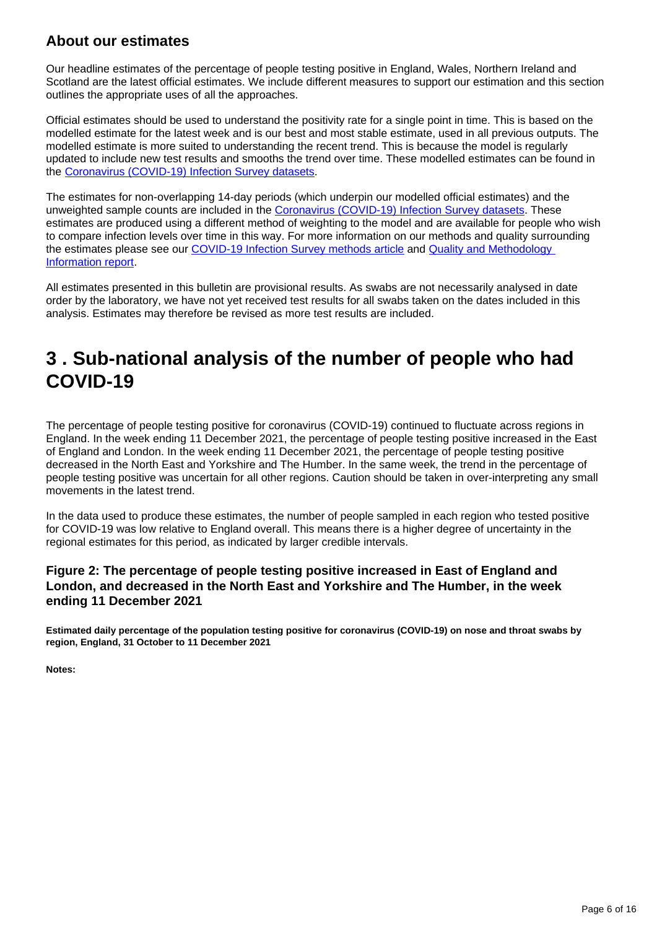## **About our estimates**

Our headline estimates of the percentage of people testing positive in England, Wales, Northern Ireland and Scotland are the latest official estimates. We include different measures to support our estimation and this section outlines the appropriate uses of all the approaches.

Official estimates should be used to understand the positivity rate for a single point in time. This is based on the modelled estimate for the latest week and is our best and most stable estimate, used in all previous outputs. The modelled estimate is more suited to understanding the recent trend. This is because the model is regularly updated to include new test results and smooths the trend over time. These modelled estimates can be found in the [Coronavirus \(COVID-19\) Infection Survey datasets](https://www.ons.gov.uk/peoplepopulationandcommunity/healthandsocialcare/conditionsanddiseases/bulletins/coronaviruscovid19infectionsurveypilot/latest/relateddata).

The estimates for non-overlapping 14-day periods (which underpin our modelled official estimates) and the unweighted sample counts are included in the [Coronavirus \(COVID-19\) Infection Survey datasets](https://www.ons.gov.uk/peoplepopulationandcommunity/healthandsocialcare/conditionsanddiseases/bulletins/coronaviruscovid19infectionsurveypilot/latest/relateddata). These estimates are produced using a different method of weighting to the model and are available for people who wish to compare infection levels over time in this way. For more information on our methods and quality surrounding the estimates please see our [COVID-19 Infection Survey methods article](https://www.ons.gov.uk/peoplepopulationandcommunity/healthandsocialcare/conditionsanddiseases/methodologies/covid19infectionsurveypilotmethodsandfurtherinformation) and [Quality and Methodology](https://www.ons.gov.uk/peoplepopulationandcommunity/healthandsocialcare/conditionsanddiseases/methodologies/coronaviruscovid19infectionsurveyqmi)  [Information report](https://www.ons.gov.uk/peoplepopulationandcommunity/healthandsocialcare/conditionsanddiseases/methodologies/coronaviruscovid19infectionsurveyqmi).

All estimates presented in this bulletin are provisional results. As swabs are not necessarily analysed in date order by the laboratory, we have not yet received test results for all swabs taken on the dates included in this analysis. Estimates may therefore be revised as more test results are included.

## <span id="page-5-0"></span>**3 . Sub-national analysis of the number of people who had COVID-19**

The percentage of people testing positive for coronavirus (COVID-19) continued to fluctuate across regions in England. In the week ending 11 December 2021, the percentage of people testing positive increased in the East of England and London. In the week ending 11 December 2021, the percentage of people testing positive decreased in the North East and Yorkshire and The Humber. In the same week, the trend in the percentage of people testing positive was uncertain for all other regions. Caution should be taken in over-interpreting any small movements in the latest trend.

In the data used to produce these estimates, the number of people sampled in each region who tested positive for COVID-19 was low relative to England overall. This means there is a higher degree of uncertainty in the regional estimates for this period, as indicated by larger credible intervals.

#### **Figure 2: The percentage of people testing positive increased in East of England and London, and decreased in the North East and Yorkshire and The Humber, in the week ending 11 December 2021**

**Estimated daily percentage of the population testing positive for coronavirus (COVID-19) on nose and throat swabs by region, England, 31 October to 11 December 2021**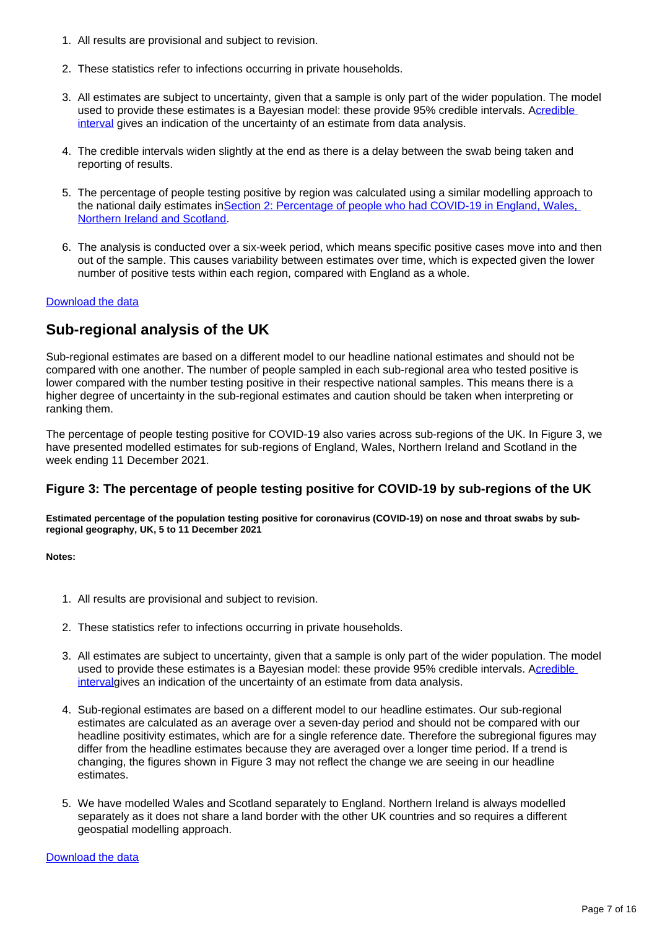- 1. All results are provisional and subject to revision.
- 2. These statistics refer to infections occurring in private households.
- 3. All estimates are subject to uncertainty, given that a sample is only part of the wider population. The model used to provide these estimates is a Bayesian model: these provide 95% credible intervals. A[credible](https://www.ons.gov.uk/peoplepopulationandcommunity/healthandsocialcare/conditionsanddiseases/bulletins/coronaviruscovid19infectionsurveypilot/latest#glossary)  [interval](https://www.ons.gov.uk/peoplepopulationandcommunity/healthandsocialcare/conditionsanddiseases/bulletins/coronaviruscovid19infectionsurveypilot/latest#glossary) gives an indication of the uncertainty of an estimate from data analysis.
- 4. The credible intervals widen slightly at the end as there is a delay between the swab being taken and reporting of results.
- 5. The percentage of people testing positive by region was calculated using a similar modelling approach to the national daily estimates in[Section 2: Percentage of people who had COVID-19 in England, Wales,](https://www.ons.gov.uk/peoplepopulationandcommunity/healthandsocialcare/conditionsanddiseases/bulletins/coronaviruscovid19infectionsurveypilot/latest#percentage-of-people-who-had-covid-19-in-england-wales-northern-ireland-and-scotland)  [Northern Ireland and Scotland](https://www.ons.gov.uk/peoplepopulationandcommunity/healthandsocialcare/conditionsanddiseases/bulletins/coronaviruscovid19infectionsurveypilot/latest#percentage-of-people-who-had-covid-19-in-england-wales-northern-ireland-and-scotland).
- 6. The analysis is conducted over a six-week period, which means specific positive cases move into and then out of the sample. This causes variability between estimates over time, which is expected given the lower number of positive tests within each region, compared with England as a whole.

### **Sub-regional analysis of the UK**

Sub-regional estimates are based on a different model to our headline national estimates and should not be compared with one another. The number of people sampled in each sub-regional area who tested positive is lower compared with the number testing positive in their respective national samples. This means there is a higher degree of uncertainty in the sub-regional estimates and caution should be taken when interpreting or ranking them.

The percentage of people testing positive for COVID-19 also varies across sub-regions of the UK. In Figure 3, we have presented modelled estimates for sub-regions of England, Wales, Northern Ireland and Scotland in the week ending 11 December 2021.

#### **Figure 3: The percentage of people testing positive for COVID-19 by sub-regions of the UK**

**Estimated percentage of the population testing positive for coronavirus (COVID-19) on nose and throat swabs by subregional geography, UK, 5 to 11 December 2021**

**Notes:**

- 1. All results are provisional and subject to revision.
- 2. These statistics refer to infections occurring in private households.
- 3. All estimates are subject to uncertainty, given that a sample is only part of the wider population. The model used to provide these estimates is a Bayesian model: these provide 95% credible intervals. A[credible](https://www.ons.gov.uk/peoplepopulationandcommunity/healthandsocialcare/conditionsanddiseases/bulletins/coronaviruscovid19infectionsurveypilot/10december2021#glossary)  [interval](https://www.ons.gov.uk/peoplepopulationandcommunity/healthandsocialcare/conditionsanddiseases/bulletins/coronaviruscovid19infectionsurveypilot/10december2021#glossary)gives an indication of the uncertainty of an estimate from data analysis.
- 4. Sub-regional estimates are based on a different model to our headline estimates. Our sub-regional estimates are calculated as an average over a seven-day period and should not be compared with our headline positivity estimates, which are for a single reference date. Therefore the subregional figures may differ from the headline estimates because they are averaged over a longer time period. If a trend is changing, the figures shown in Figure 3 may not reflect the change we are seeing in our headline estimates.
- 5. We have modelled Wales and Scotland separately to England. Northern Ireland is always modelled separately as it does not share a land border with the other UK countries and so requires a different geospatial modelling approach.

[Download the data](https://www.ons.gov.uk/visualisations/dvc1725/map/datadownload.xlsx)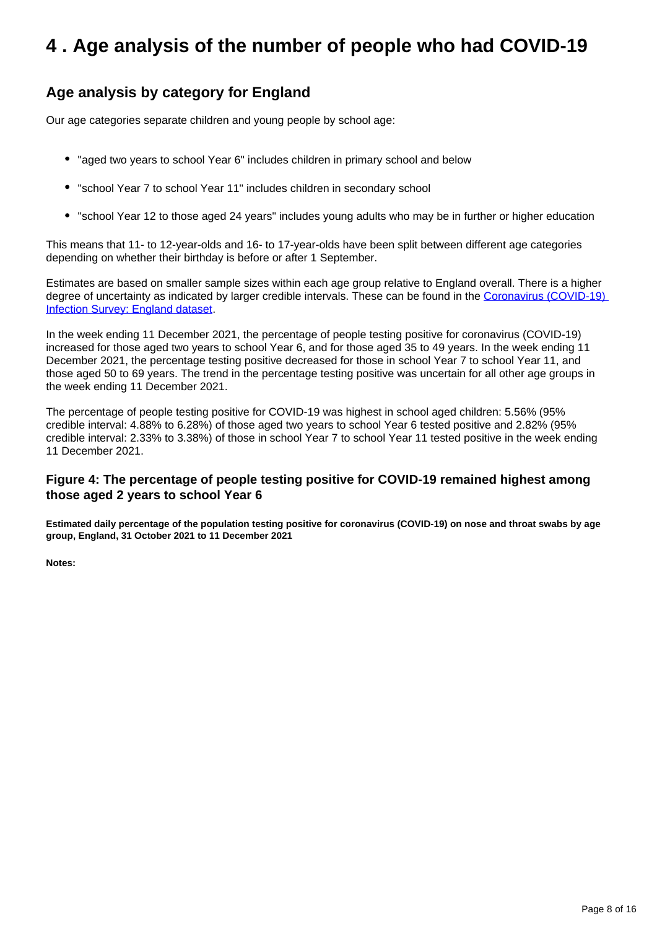## <span id="page-7-0"></span>**4 . Age analysis of the number of people who had COVID-19**

### **Age analysis by category for England**

Our age categories separate children and young people by school age:

- "aged two years to school Year 6" includes children in primary school and below
- "school Year 7 to school Year 11" includes children in secondary school
- "school Year 12 to those aged 24 years" includes young adults who may be in further or higher education

This means that 11- to 12-year-olds and 16- to 17-year-olds have been split between different age categories depending on whether their birthday is before or after 1 September.

Estimates are based on smaller sample sizes within each age group relative to England overall. There is a higher degree of uncertainty as indicated by larger credible intervals. These can be found in the Coronavirus (COVID-19) [Infection Survey: England dataset.](http://www.ons.gov.uk/peoplepopulationandcommunity/healthandsocialcare/conditionsanddiseases/datasets/coronaviruscovid19infectionsurveydata)

In the week ending 11 December 2021, the percentage of people testing positive for coronavirus (COVID-19) increased for those aged two years to school Year 6, and for those aged 35 to 49 years. In the week ending 11 December 2021, the percentage testing positive decreased for those in school Year 7 to school Year 11, and those aged 50 to 69 years. The trend in the percentage testing positive was uncertain for all other age groups in the week ending 11 December 2021.

The percentage of people testing positive for COVID-19 was highest in school aged children: 5.56% (95% credible interval: 4.88% to 6.28%) of those aged two years to school Year 6 tested positive and 2.82% (95% credible interval: 2.33% to 3.38%) of those in school Year 7 to school Year 11 tested positive in the week ending 11 December 2021.

#### **Figure 4: The percentage of people testing positive for COVID-19 remained highest among those aged 2 years to school Year 6**

**Estimated daily percentage of the population testing positive for coronavirus (COVID-19) on nose and throat swabs by age group, England, 31 October 2021 to 11 December 2021**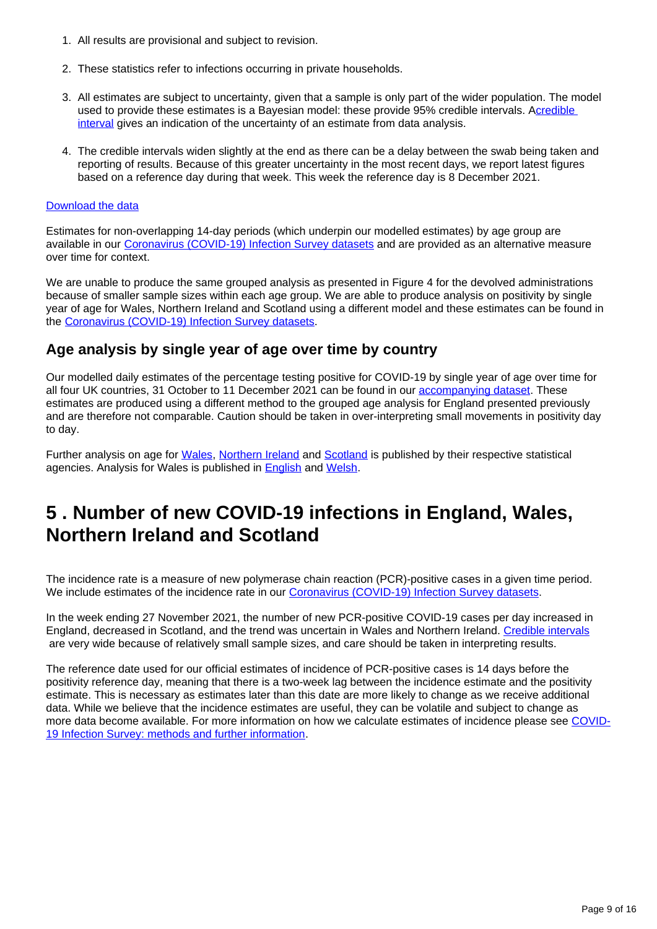- 1. All results are provisional and subject to revision.
- 2. These statistics refer to infections occurring in private households.
- 3. All estimates are subject to uncertainty, given that a sample is only part of the wider population. The model used to provide these estimates is a Bayesian model: these provide 95% credible intervals. A[credible](https://www.ons.gov.uk/peoplepopulationandcommunity/healthandsocialcare/conditionsanddiseases/bulletins/coronaviruscovid19infectionsurveypilot/latest#glossary)  [interval](https://www.ons.gov.uk/peoplepopulationandcommunity/healthandsocialcare/conditionsanddiseases/bulletins/coronaviruscovid19infectionsurveypilot/latest#glossary) gives an indication of the uncertainty of an estimate from data analysis.
- 4. The credible intervals widen slightly at the end as there can be a delay between the swab being taken and reporting of results. Because of this greater uncertainty in the most recent days, we report latest figures based on a reference day during that week. This week the reference day is 8 December 2021.

Estimates for non-overlapping 14-day periods (which underpin our modelled estimates) by age group are available in our [Coronavirus \(COVID-19\) Infection Survey datasets](https://www.ons.gov.uk/peoplepopulationandcommunity/healthandsocialcare/conditionsanddiseases/bulletins/coronaviruscovid19infectionsurveypilot/17december2021/relateddata) and are provided as an alternative measure over time for context.

We are unable to produce the same grouped analysis as presented in Figure 4 for the devolved administrations because of smaller sample sizes within each age group. We are able to produce analysis on positivity by single year of age for Wales, Northern Ireland and Scotland using a different model and these estimates can be found in the [Coronavirus \(COVID-19\) Infection Survey datasets](https://www.ons.gov.uk/peoplepopulationandcommunity/healthandsocialcare/conditionsanddiseases/bulletins/coronaviruscovid19infectionsurveypilot/17december2021/relateddata).

### **Age analysis by single year of age over time by country**

Our modelled daily estimates of the percentage testing positive for COVID-19 by single year of age over time for all four UK countries, 31 October to 11 December 2021 can be found in our [accompanying dataset.](https://www.ons.gov.uk/peoplepopulationandcommunity/healthandsocialcare/conditionsanddiseases/bulletins/coronaviruscovid19infectionsurveypilot/latest/relateddata) These estimates are produced using a different method to the grouped age analysis for England presented previously and are therefore not comparable. Caution should be taken in over-interpreting small movements in positivity day to day.

Further analysis on age for [Wales,](https://gov.wales/coronavirus-covid-19-infection-survey-positivity-estimates) [Northern Ireland](https://www.health-ni.gov.uk/articles/covid-19-infection-survey) and [Scotland](https://www.gov.scot/collections/coronavirus-covid-19-infection-survey/) is published by their respective statistical agencies. Analysis for Wales is published in [English](https://gov.wales/coronavirus-covid-19-infection-survey-positivity-estimates) and [Welsh](https://llyw.cymru/arolwg-heintiadau-coronafeirws-covid-19-amcangyfrifon-positifedd).

## <span id="page-8-0"></span>**5 . Number of new COVID-19 infections in England, Wales, Northern Ireland and Scotland**

The incidence rate is a measure of new polymerase chain reaction (PCR)-positive cases in a given time period. We include estimates of the incidence rate in our [Coronavirus \(COVID-19\) Infection Survey datasets](https://www.ons.gov.uk/peoplepopulationandcommunity/healthandsocialcare/conditionsanddiseases/bulletins/coronaviruscovid19infectionsurveypilot/latest/relateddata).

In the week ending 27 November 2021, the number of new PCR-positive COVID-19 cases per day increased in England, decreased in Scotland, and the trend was uncertain in Wales and Northern Ireland. [Credible intervals](http://www.ons.gov.uk/peoplepopulationandcommunity/healthandsocialcare/conditionsanddiseases/bulletins/coronaviruscovid19infectionsurveypilot/latest#glossary) are very wide because of relatively small sample sizes, and care should be taken in interpreting results.

The reference date used for our official estimates of incidence of PCR-positive cases is 14 days before the positivity reference day, meaning that there is a two-week lag between the incidence estimate and the positivity estimate. This is necessary as estimates later than this date are more likely to change as we receive additional data. While we believe that the incidence estimates are useful, they can be volatile and subject to change as more data become available. For more information on how we calculate estimates of incidence please see [COVID-](https://www.ons.gov.uk/peoplepopulationandcommunity/healthandsocialcare/conditionsanddiseases/bulletins/coronaviruscovid19infectionsurveypilot/latest#glossary)[19 Infection Survey: methods and further information.](https://www.ons.gov.uk/peoplepopulationandcommunity/healthandsocialcare/conditionsanddiseases/bulletins/coronaviruscovid19infectionsurveypilot/latest#glossary)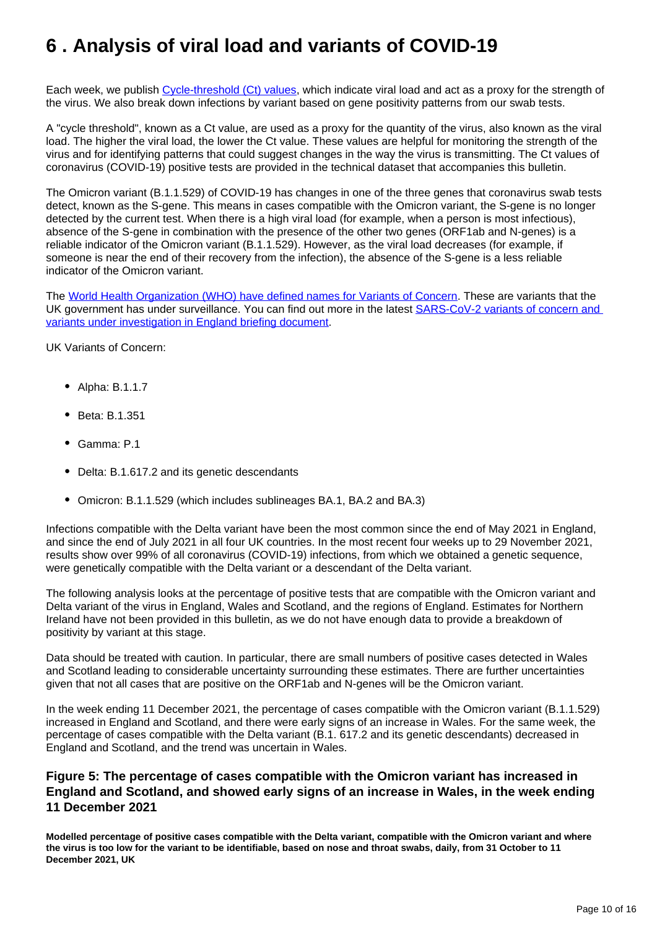## <span id="page-9-0"></span>**6 . Analysis of viral load and variants of COVID-19**

Each week, we publish [Cycle-threshold \(Ct\) values,](https://www.ons.gov.uk/peoplepopulationandcommunity/healthandsocialcare/conditionsanddiseases/bulletins/coronaviruscovid19infectionsurveypilot/latest#glossary) which indicate viral load and act as a proxy for the strength of the virus. We also break down infections by variant based on gene positivity patterns from our swab tests.

A "cycle threshold", known as a Ct value, are used as a proxy for the quantity of the virus, also known as the viral load. The higher the viral load, the lower the Ct value. These values are helpful for monitoring the strength of the virus and for identifying patterns that could suggest changes in the way the virus is transmitting. The Ct values of coronavirus (COVID-19) positive tests are provided in the technical dataset that accompanies this bulletin.

The Omicron variant (B.1.1.529) of COVID-19 has changes in one of the three genes that coronavirus swab tests detect, known as the S-gene. This means in cases compatible with the Omicron variant, the S-gene is no longer detected by the current test. When there is a high viral load (for example, when a person is most infectious), absence of the S-gene in combination with the presence of the other two genes (ORF1ab and N-genes) is a reliable indicator of the Omicron variant (B.1.1.529). However, as the viral load decreases (for example, if someone is near the end of their recovery from the infection), the absence of the S-gene is a less reliable indicator of the Omicron variant.

The [World Health Organization \(WHO\) have defined names for Variants of Concern.](https://www.who.int/en/activities/tracking-SARS-CoV-2-variants/) These are variants that the UK government has under surveillance. You can find out more in the latest [SARS-CoV-2 variants of concern and](https://www.gov.uk/government/publications/investigation-of-sars-cov-2-variants-technical-briefings)  [variants under investigation in England briefing document.](https://www.gov.uk/government/publications/investigation-of-sars-cov-2-variants-technical-briefings)

UK Variants of Concern:

- Alpha: B.1.1.7
- Beta: B.1.351
- Gamma: P.1
- Delta: B.1.617.2 and its genetic descendants
- Omicron: B.1.1.529 (which includes sublineages BA.1, BA.2 and BA.3)

Infections compatible with the Delta variant have been the most common since the end of May 2021 in England, and since the end of July 2021 in all four UK countries. In the most recent four weeks up to 29 November 2021, results show over 99% of all coronavirus (COVID-19) infections, from which we obtained a genetic sequence, were genetically compatible with the Delta variant or a descendant of the Delta variant.

The following analysis looks at the percentage of positive tests that are compatible with the Omicron variant and Delta variant of the virus in England, Wales and Scotland, and the regions of England. Estimates for Northern Ireland have not been provided in this bulletin, as we do not have enough data to provide a breakdown of positivity by variant at this stage.

Data should be treated with caution. In particular, there are small numbers of positive cases detected in Wales and Scotland leading to considerable uncertainty surrounding these estimates. There are further uncertainties given that not all cases that are positive on the ORF1ab and N-genes will be the Omicron variant.

In the week ending 11 December 2021, the percentage of cases compatible with the Omicron variant (B.1.1.529) increased in England and Scotland, and there were early signs of an increase in Wales. For the same week, the percentage of cases compatible with the Delta variant (B.1. 617.2 and its genetic descendants) decreased in England and Scotland, and the trend was uncertain in Wales.

#### **Figure 5: The percentage of cases compatible with the Omicron variant has increased in England and Scotland, and showed early signs of an increase in Wales, in the week ending 11 December 2021**

**Modelled percentage of positive cases compatible with the Delta variant, compatible with the Omicron variant and where the virus is too low for the variant to be identifiable, based on nose and throat swabs, daily, from 31 October to 11 December 2021, UK**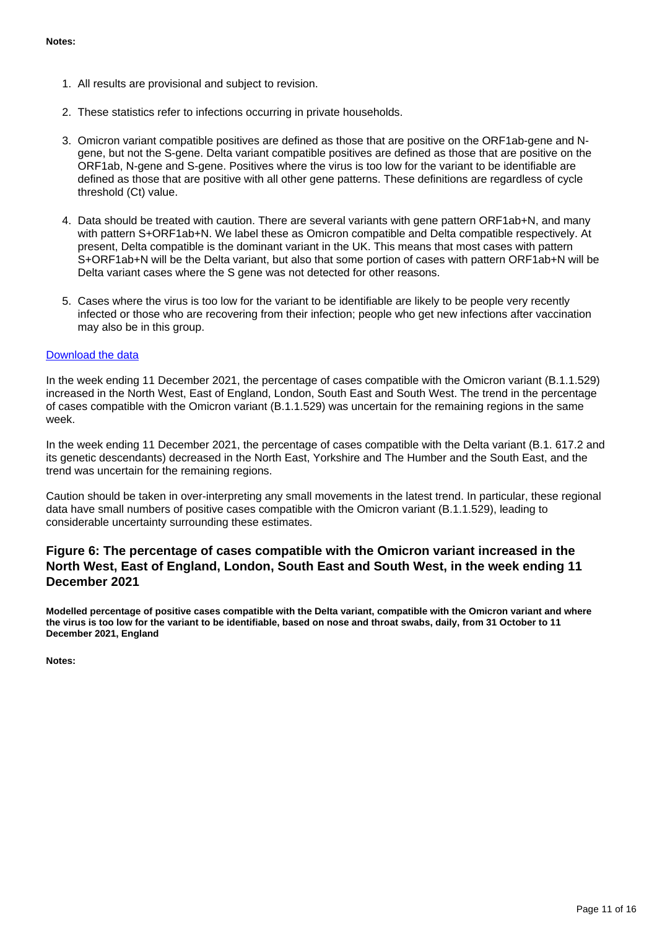- 1. All results are provisional and subject to revision.
- 2. These statistics refer to infections occurring in private households.
- 3. Omicron variant compatible positives are defined as those that are positive on the ORF1ab-gene and Ngene, but not the S-gene. Delta variant compatible positives are defined as those that are positive on the ORF1ab, N-gene and S-gene. Positives where the virus is too low for the variant to be identifiable are defined as those that are positive with all other gene patterns. These definitions are regardless of cycle threshold (Ct) value.
- 4. Data should be treated with caution. There are several variants with gene pattern ORF1ab+N, and many with pattern S+ORF1ab+N. We label these as Omicron compatible and Delta compatible respectively. At present, Delta compatible is the dominant variant in the UK. This means that most cases with pattern S+ORF1ab+N will be the Delta variant, but also that some portion of cases with pattern ORF1ab+N will be Delta variant cases where the S gene was not detected for other reasons.
- 5. Cases where the virus is too low for the variant to be identifiable are likely to be people very recently infected or those who are recovering from their infection; people who get new infections after vaccination may also be in this group.

In the week ending 11 December 2021, the percentage of cases compatible with the Omicron variant (B.1.1.529) increased in the North West, East of England, London, South East and South West. The trend in the percentage of cases compatible with the Omicron variant (B.1.1.529) was uncertain for the remaining regions in the same week.

In the week ending 11 December 2021, the percentage of cases compatible with the Delta variant (B.1. 617.2 and its genetic descendants) decreased in the North East, Yorkshire and The Humber and the South East, and the trend was uncertain for the remaining regions.

Caution should be taken in over-interpreting any small movements in the latest trend. In particular, these regional data have small numbers of positive cases compatible with the Omicron variant (B.1.1.529), leading to considerable uncertainty surrounding these estimates.

#### **Figure 6: The percentage of cases compatible with the Omicron variant increased in the North West, East of England, London, South East and South West, in the week ending 11 December 2021**

**Modelled percentage of positive cases compatible with the Delta variant, compatible with the Omicron variant and where the virus is too low for the variant to be identifiable, based on nose and throat swabs, daily, from 31 October to 11 December 2021, England**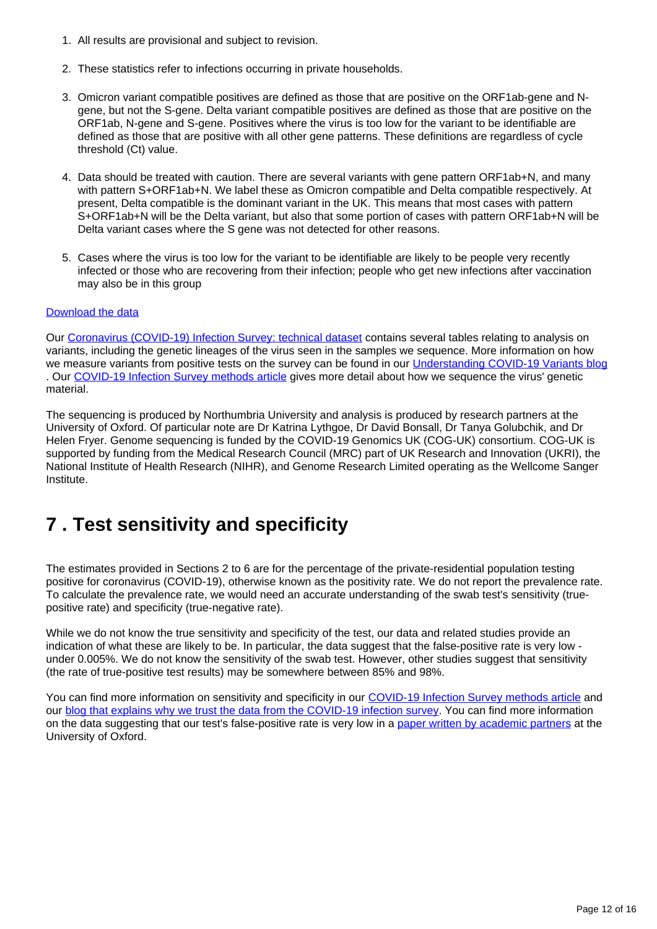- 1. All results are provisional and subject to revision.
- 2. These statistics refer to infections occurring in private households.
- 3. Omicron variant compatible positives are defined as those that are positive on the ORF1ab-gene and Ngene, but not the S-gene. Delta variant compatible positives are defined as those that are positive on the ORF1ab, N-gene and S-gene. Positives where the virus is too low for the variant to be identifiable are defined as those that are positive with all other gene patterns. These definitions are regardless of cycle threshold (Ct) value.
- 4. Data should be treated with caution. There are several variants with gene pattern ORF1ab+N, and many with pattern S+ORF1ab+N. We label these as Omicron compatible and Delta compatible respectively. At present, Delta compatible is the dominant variant in the UK. This means that most cases with pattern S+ORF1ab+N will be the Delta variant, but also that some portion of cases with pattern ORF1ab+N will be Delta variant cases where the S gene was not detected for other reasons.
- 5. Cases where the virus is too low for the variant to be identifiable are likely to be people very recently infected or those who are recovering from their infection; people who get new infections after vaccination may also be in this group

Our [Coronavirus \(COVID-19\) Infection Survey: technical dataset](https://www.ons.gov.uk/peoplepopulationandcommunity/healthandsocialcare/conditionsanddiseases/datasets/covid19infectionsurveytechnicaldata) contains several tables relating to analysis on variants, including the genetic lineages of the virus seen in the samples we sequence. More information on how we measure variants from positive tests on the survey can be found in our [Understanding COVID-19 Variants blog](https://blog.ons.gov.uk/2021/05/28/understanding-covid-19-variants-what-can-the-coronavirus-infection-survey-tell-us) . Our [COVID-19 Infection Survey methods article](https://www.ons.gov.uk/peoplepopulationandcommunity/healthandsocialcare/conditionsanddiseases/methodologies/covid19infectionsurveypilotmethodsandfurtherinformation) gives more detail about how we sequence the virus' genetic material.

The sequencing is produced by Northumbria University and analysis is produced by research partners at the University of Oxford. Of particular note are Dr Katrina Lythgoe, Dr David Bonsall, Dr Tanya Golubchik, and Dr Helen Fryer. Genome sequencing is funded by the COVID-19 Genomics UK (COG-UK) consortium. COG-UK is supported by funding from the Medical Research Council (MRC) part of UK Research and Innovation (UKRI), the National Institute of Health Research (NIHR), and Genome Research Limited operating as the Wellcome Sanger Institute.

## <span id="page-11-0"></span>**7 . Test sensitivity and specificity**

The estimates provided in Sections 2 to 6 are for the percentage of the private-residential population testing positive for coronavirus (COVID-19), otherwise known as the positivity rate. We do not report the prevalence rate. To calculate the prevalence rate, we would need an accurate understanding of the swab test's sensitivity (truepositive rate) and specificity (true-negative rate).

While we do not know the true sensitivity and specificity of the test, our data and related studies provide an indication of what these are likely to be. In particular, the data suggest that the false-positive rate is very low under 0.005%. We do not know the sensitivity of the swab test. However, other studies suggest that sensitivity (the rate of true-positive test results) may be somewhere between 85% and 98%.

You can find more information on sensitivity and specificity in our [COVID-19 Infection Survey methods article](https://www.ons.gov.uk/peoplepopulationandcommunity/healthandsocialcare/conditionsanddiseases/methodologies/covid19infectionsurveypilotmethodsandfurtherinformation#test-sensitivity-and-specificity) and our [blog that explains why we trust the data from the COVID-19 infection survey.](https://blog.ons.gov.uk/2021/04/09/accuracy-and-confidence-why-we-trust-the-data-from-the-covid-19-infection-survey/) You can find more information on the data suggesting that our test's false-positive rate is very low in a [paper written by academic partners](https://www.medrxiv.org/content/10.1101/2020.10.25.20219048v2) at the University of Oxford.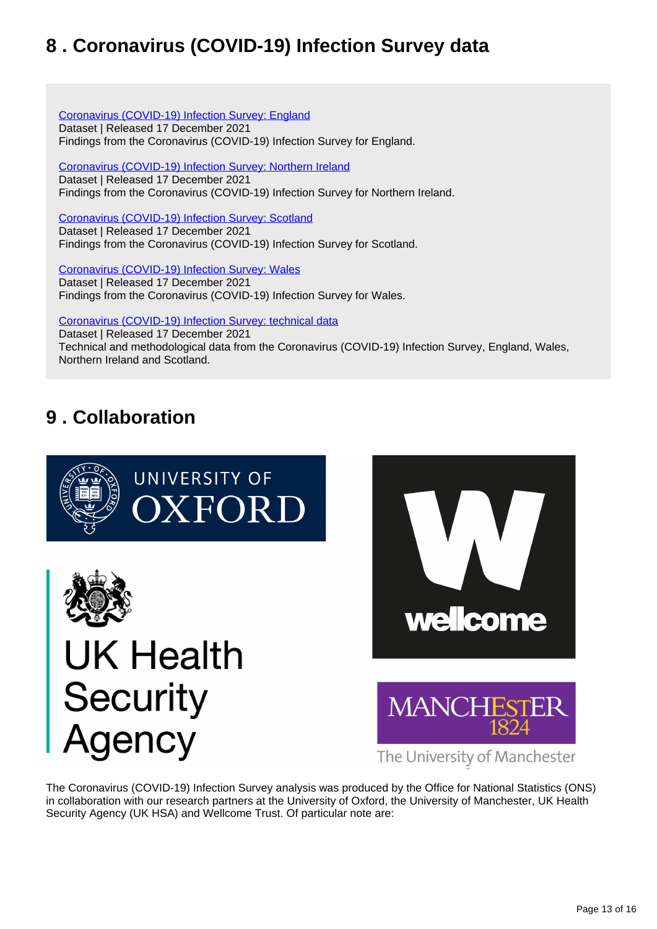## <span id="page-12-0"></span>**8 . Coronavirus (COVID-19) Infection Survey data**

#### [Coronavirus \(COVID-19\) Infection Survey: England](https://www.ons.gov.uk/peoplepopulationandcommunity/healthandsocialcare/conditionsanddiseases/datasets/coronaviruscovid19infectionsurveydata)

Dataset | Released 17 December 2021 Findings from the Coronavirus (COVID-19) Infection Survey for England.

[Coronavirus \(COVID-19\) Infection Survey: Northern Ireland](https://www.ons.gov.uk/peoplepopulationandcommunity/healthandsocialcare/conditionsanddiseases/datasets/covid19infectionsurveynorthernireland) Dataset | Released 17 December 2021 Findings from the Coronavirus (COVID-19) Infection Survey for Northern Ireland.

[Coronavirus \(COVID-19\) Infection Survey: Scotland](https://www.ons.gov.uk/peoplepopulationandcommunity/healthandsocialcare/conditionsanddiseases/datasets/covid19infectionsurveyscotland)

Dataset | Released 17 December 2021 Findings from the Coronavirus (COVID-19) Infection Survey for Scotland.

[Coronavirus \(COVID-19\) Infection Survey: Wales](https://www.ons.gov.uk/peoplepopulationandcommunity/healthandsocialcare/conditionsanddiseases/datasets/covid19infectionsurveywales) Dataset | Released 17 December 2021

Findings from the Coronavirus (COVID-19) Infection Survey for Wales.

[Coronavirus \(COVID-19\) Infection Survey: technical data](https://www.ons.gov.uk/peoplepopulationandcommunity/healthandsocialcare/conditionsanddiseases/datasets/covid19infectionsurveytechnicaldata)

Dataset | Released 17 December 2021 Technical and methodological data from the Coronavirus (COVID-19) Infection Survey, England, Wales, Northern Ireland and Scotland.

## <span id="page-12-1"></span>**9 . Collaboration**









The University of Manchester

The Coronavirus (COVID-19) Infection Survey analysis was produced by the Office for National Statistics (ONS) in collaboration with our research partners at the University of Oxford, the University of Manchester, UK Health Security Agency (UK HSA) and Wellcome Trust. Of particular note are: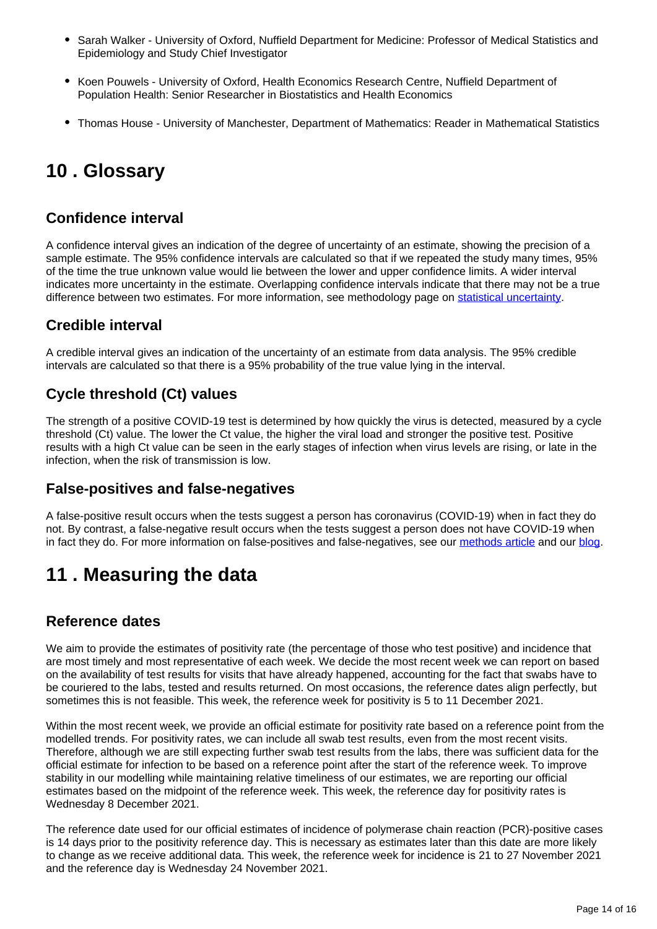- Sarah Walker University of Oxford, Nuffield Department for Medicine: Professor of Medical Statistics and Epidemiology and Study Chief Investigator
- Koen Pouwels University of Oxford, Health Economics Research Centre, Nuffield Department of Population Health: Senior Researcher in Biostatistics and Health Economics
- Thomas House University of Manchester, Department of Mathematics: Reader in Mathematical Statistics

## <span id="page-13-0"></span>**10 . Glossary**

### **Confidence interval**

A confidence interval gives an indication of the degree of uncertainty of an estimate, showing the precision of a sample estimate. The 95% confidence intervals are calculated so that if we repeated the study many times, 95% of the time the true unknown value would lie between the lower and upper confidence limits. A wider interval indicates more uncertainty in the estimate. Overlapping confidence intervals indicate that there may not be a true difference between two estimates. For more information, see methodology page on [statistical uncertainty.](https://www.ons.gov.uk/methodology/methodologytopicsandstatisticalconcepts/uncertaintyandhowwemeasureit)

### **Credible interval**

A credible interval gives an indication of the uncertainty of an estimate from data analysis. The 95% credible intervals are calculated so that there is a 95% probability of the true value lying in the interval.

## **Cycle threshold (Ct) values**

The strength of a positive COVID-19 test is determined by how quickly the virus is detected, measured by a cycle threshold (Ct) value. The lower the Ct value, the higher the viral load and stronger the positive test. Positive results with a high Ct value can be seen in the early stages of infection when virus levels are rising, or late in the infection, when the risk of transmission is low.

### **False-positives and false-negatives**

A false-positive result occurs when the tests suggest a person has coronavirus (COVID-19) when in fact they do not. By contrast, a false-negative result occurs when the tests suggest a person does not have COVID-19 when in fact they do. For more information on false-positives and false-negatives, see our [methods article](https://www.ons.gov.uk/peoplepopulationandcommunity/healthandsocialcare/conditionsanddiseases/methodologies/covid19infectionsurveypilotmethodsandfurtherinformation#test-sensitivity-and-specificity) and our [blog](https://blog.ons.gov.uk/2021/04/09/accuracy-and-confidence-why-we-trust-the-data-from-the-covid-19-infection-survey/).

## <span id="page-13-1"></span>**11 . Measuring the data**

### **Reference dates**

We aim to provide the estimates of positivity rate (the percentage of those who test positive) and incidence that are most timely and most representative of each week. We decide the most recent week we can report on based on the availability of test results for visits that have already happened, accounting for the fact that swabs have to be couriered to the labs, tested and results returned. On most occasions, the reference dates align perfectly, but sometimes this is not feasible. This week, the reference week for positivity is 5 to 11 December 2021.

Within the most recent week, we provide an official estimate for positivity rate based on a reference point from the modelled trends. For positivity rates, we can include all swab test results, even from the most recent visits. Therefore, although we are still expecting further swab test results from the labs, there was sufficient data for the official estimate for infection to be based on a reference point after the start of the reference week. To improve stability in our modelling while maintaining relative timeliness of our estimates, we are reporting our official estimates based on the midpoint of the reference week. This week, the reference day for positivity rates is Wednesday 8 December 2021.

The reference date used for our official estimates of incidence of polymerase chain reaction (PCR)-positive cases is 14 days prior to the positivity reference day. This is necessary as estimates later than this date are more likely to change as we receive additional data. This week, the reference week for incidence is 21 to 27 November 2021 and the reference day is Wednesday 24 November 2021.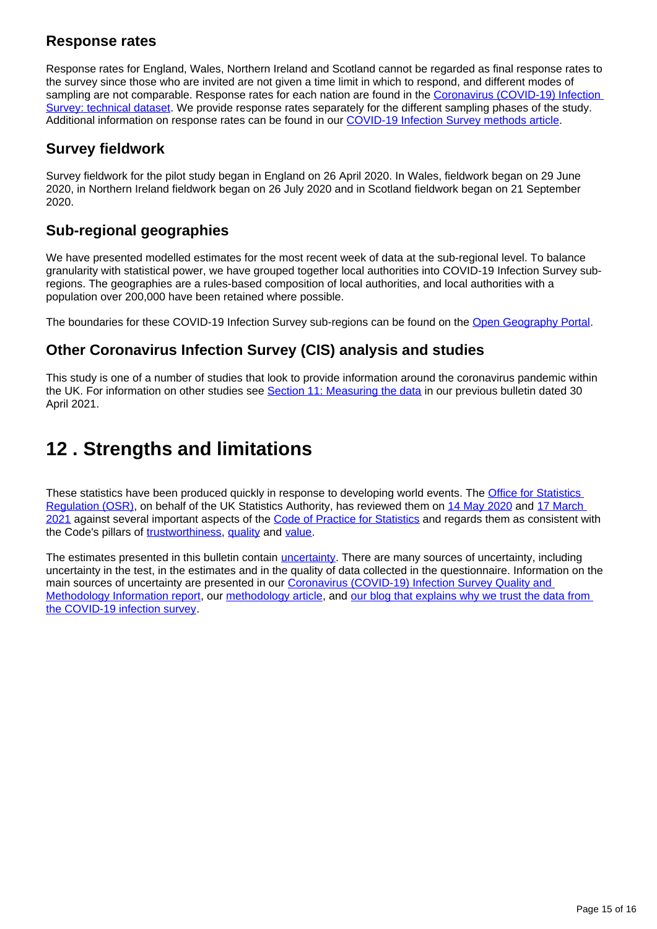### **Response rates**

Response rates for England, Wales, Northern Ireland and Scotland cannot be regarded as final response rates to the survey since those who are invited are not given a time limit in which to respond, and different modes of sampling are not comparable. Response rates for each nation are found in the Coronavirus (COVID-19) Infection [Survey: technical dataset.](https://www.ons.gov.uk/peoplepopulationandcommunity/healthandsocialcare/conditionsanddiseases/datasets/covid19infectionsurveytechnicaldata) We provide response rates separately for the different sampling phases of the study. Additional information on response rates can be found in our [COVID-19 Infection Survey methods article.](https://www.ons.gov.uk/peoplepopulationandcommunity/healthandsocialcare/conditionsanddiseases/methodologies/covid19infectionsurveypilotmethodsandfurtherinformation#study-design-sampling)

### **Survey fieldwork**

Survey fieldwork for the pilot study began in England on 26 April 2020. In Wales, fieldwork began on 29 June 2020, in Northern Ireland fieldwork began on 26 July 2020 and in Scotland fieldwork began on 21 September 2020.

### **Sub-regional geographies**

We have presented modelled estimates for the most recent week of data at the sub-regional level. To balance granularity with statistical power, we have grouped together local authorities into COVID-19 Infection Survey subregions. The geographies are a rules-based composition of local authorities, and local authorities with a population over 200,000 have been retained where possible.

The boundaries for these COVID-19 Infection Survey sub-regions can be found on the [Open Geography Portal.](https://geoportal.statistics.gov.uk/search?collection=Dataset&sort=name&tags=all%28BDY_CIS%2COCT_2020)

## **Other Coronavirus Infection Survey (CIS) analysis and studies**

This study is one of a number of studies that look to provide information around the coronavirus pandemic within the UK. For information on other studies see **Section 11: Measuring the data** in our previous bulletin dated 30 April 2021.

## <span id="page-14-0"></span>**12 . Strengths and limitations**

These statistics have been produced quickly in response to developing world events. The **Office for Statistics** [Regulation \(OSR\)](https://osr.statisticsauthority.gov.uk/), on behalf of the UK Statistics Authority, has reviewed them on [14 May 2020](https://osr.statisticsauthority.gov.uk/correspondence/review-of-coronavirus-covid-19-infection-survey/) and 17 March [2021](https://osr.statisticsauthority.gov.uk/correspondence/ed-humpherson-to-iain-bell-ons-covid-19-infection-survey-statistics/) against several important aspects of the [Code of Practice for Statistics](https://code.statisticsauthority.gov.uk/the-code/) and regards them as consistent with the Code's pillars of [trustworthiness,](https://code.statisticsauthority.gov.uk/the-code/trustworthiness/) [quality](https://code.statisticsauthority.gov.uk/the-code/quality/) and [value.](https://code.statisticsauthority.gov.uk/the-code/value/)

The estimates presented in this bulletin contain [uncertainty](https://www.ons.gov.uk/methodology/methodologytopicsandstatisticalconcepts/uncertaintyandhowwemeasureit). There are many sources of uncertainty, including uncertainty in the test, in the estimates and in the quality of data collected in the questionnaire. Information on the main sources of uncertainty are presented in our Coronavirus (COVID-19) Infection Survey Quality and [Methodology Information report,](https://www.ons.gov.uk/peoplepopulationandcommunity/healthandsocialcare/conditionsanddiseases/methodologies/coronaviruscovid19infectionsurveyqmi) our [methodology article,](https://www.ons.gov.uk/peoplepopulationandcommunity/healthandsocialcare/conditionsanddiseases/methodologies/covid19infectionsurveypilotmethodsandfurtherinformation#uncertainty-in-the-data) and our blog that explains why we trust the data from [the COVID-19 infection survey](https://blog.ons.gov.uk/2021/04/09/accuracy-and-confidence-why-we-trust-the-data-from-the-covid-19-infection-survey/).